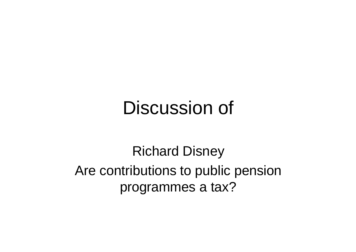## Discussion of

Richard Disney Are contributions to public pension programmes a tax?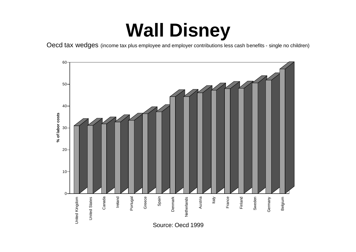# **Wall Disney**

Oecd tax wedges (income tax plus employee and employer contributions less cash benefits - single no children)

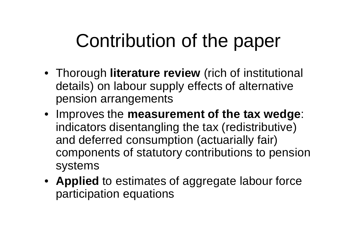# Contribution of the paper

- Thorough **literature review** (rich of institutional details) on labour supply effects of alternative pension arrangements
- Improves the **measurement of the tax wedge**: indicators disentangling the tax (redistributive) and deferred consumption (actuarially fair) components of statutory contributions to pension systems
- **Applied** to estimates of aggregate labour force participation equations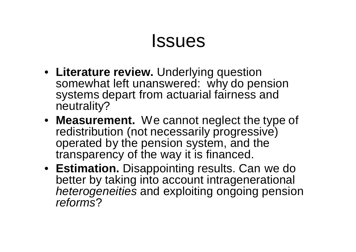### Issues

- **Literature review.** Underlying question somewhat left unanswered: why do pension systems depart from actuarial fairness and neutrality?
- **Measurement.** We cannot neglect the type of redistribution (not necessarily progressive) operated by the pension system, and the transparency of the way it is financed.
- **Estimation.** Disappointing results. Can we do better by taking into account intragenerational *heterogeneities* and exploiting ongoing pension *reforms*?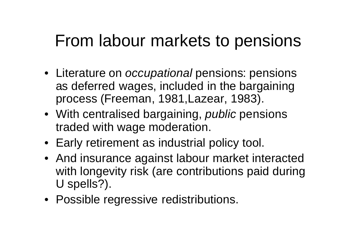### From labour markets to pensions

- Literature on *occupational* pensions: pensions as deferred wages, included in the bargaining process (Freeman, 1981,Lazear, 1983).
- With centralised bargaining, *public* pensions traded with wage moderation.
- Early retirement as industrial policy tool.
- And insurance against labour market interacted with longevity risk (are contributions paid during U spells?).
- Possible regressive redistributions.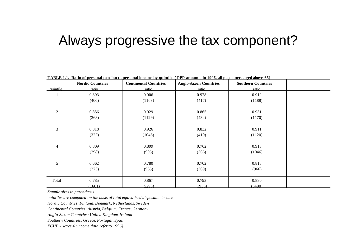#### Always progressive the tax component?

|                | <b>Nordic Countries</b> | <b>Continental Countries</b> | <b>Anglo-Saxon Countries</b> | <b>Southern Countries</b> |  |
|----------------|-------------------------|------------------------------|------------------------------|---------------------------|--|
| quintile       | ratio                   | ratio                        | ratio                        | ratio                     |  |
|                | 0.893                   | 0.906                        | 0.928                        | 0.912                     |  |
|                | (400)                   | (1163)                       | (417)                        | (1188)                    |  |
| $\overline{c}$ | 0.856                   | 0.929                        | 0.865                        | 0.931                     |  |
|                | (368)                   | (1129)                       | (434)                        | (1170)                    |  |
| 3              | 0.818                   | 0.926                        | 0.832                        | 0.911                     |  |
|                | (322)                   | (1046)                       | (410)                        | (1120)                    |  |
| $\overline{4}$ | 0.809                   | 0.899                        | 0.762                        | 0.913                     |  |
|                | (298)                   | (995)                        | (366)                        | (1046)                    |  |
| 5              | 0.662                   | 0.780                        | 0.702                        | 0.815                     |  |
|                | (273)                   | (965)                        | (309)                        | (966)                     |  |
| Total          | 0.785                   | 0.867                        | 0.793                        | 0.880                     |  |
|                | (1661)                  | (5298)                       | (1936)                       | (5490)                    |  |

**TABLE 1.1. Ratio of personal pension to personal income by quintile. ( PPP amounts in 1996, all pensioners aged above 65)**

*Sample sizes in parenthesis*

*quintiles are computed on the basis of total equivalised disposable income*

*Nordic Countries: Finland, Denmark, Netherlands, Sweden*

*Continental Countries: Austria, Belgium, France, Germany*

*Anglo-Saxon Countries: United Kingdom, Ireland*

*Southern Countries: Greece, Portugal, Spain*

*ECHP - wave 4 (income data refer to 1996)*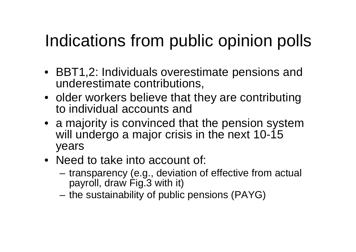## Indications from public opinion polls

- BBT1,2: Individuals overestimate pensions and underestimate contributions,
- older workers believe that they are contributing to individual accounts and
- a majority is convinced that the pension system will undergo a major crisis in the next 10-15 years
- Need to take into account of:
	- transparency (e.g., deviation of effective from actual payroll, draw Fig.3 with it)
	- the sustainability of public pensions (PAYG)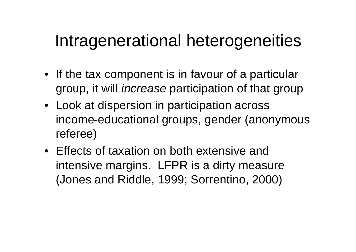### Intragenerational heterogeneities

- If the tax component is in favour of a particular group, it will *increase* participation of that group
- Look at dispersion in participation across income-educational groups, gender (anonymous referee)
- Effects of taxation on both extensive and intensive margins. LFPR is a dirty measure (Jones and Riddle, 1999; Sorrentino, 2000)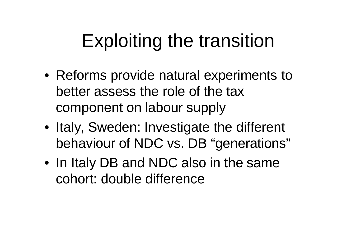# Exploiting the transition

- Reforms provide natural experiments to better assess the role of the tax component on labour supply
- Italy, Sweden: Investigate the different behaviour of NDC vs. DB "generations"
- In Italy DB and NDC also in the same cohort: double difference